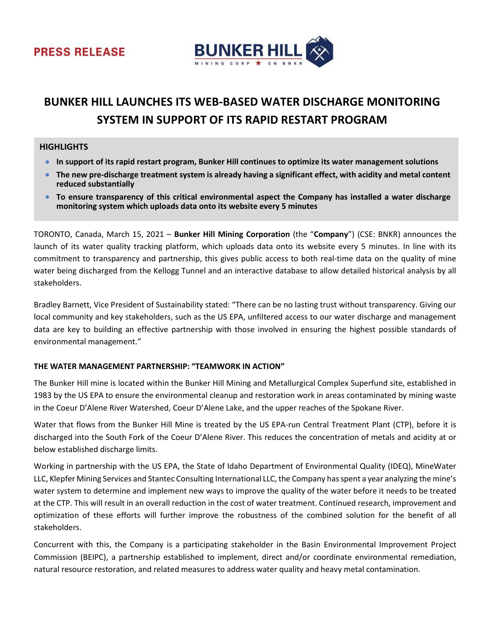



# BUNKER HILL LAUNCHES ITS WEB-BASED WATER DISCHARGE MONITORING SYSTEM IN SUPPORT OF ITS RAPID RESTART PROGRAM

# **HIGHLIGHTS**

- In support of its rapid restart program, Bunker Hill continues to optimize its water management solutions
- The new pre-discharge treatment system is already having a significant effect, with acidity and metal content reduced substantially
- To ensure transparency of this critical environmental aspect the Company has installed a water discharge monitoring system which uploads data onto its website every 5 minutes

TORONTO, Canada, March 15, 2021 – Bunker Hill Mining Corporation (the "Company") (CSE: BNKR) announces the launch of its water quality tracking platform, which uploads data onto its website every 5 minutes. In line with its commitment to transparency and partnership, this gives public access to both real-time data on the quality of mine water being discharged from the Kellogg Tunnel and an interactive database to allow detailed historical analysis by all stakeholders.

Bradley Barnett, Vice President of Sustainability stated: "There can be no lasting trust without transparency. Giving our local community and key stakeholders, such as the US EPA, unfiltered access to our water discharge and management data are key to building an effective partnership with those involved in ensuring the highest possible standards of environmental management."

## THE WATER MANAGEMENT PARTNERSHIP: "TEAMWORK IN ACTION"

The Bunker Hill mine is located within the Bunker Hill Mining and Metallurgical Complex Superfund site, established in 1983 by the US EPA to ensure the environmental cleanup and restoration work in areas contaminated by mining waste in the Coeur D'Alene River Watershed, Coeur D'Alene Lake, and the upper reaches of the Spokane River.

Water that flows from the Bunker Hill Mine is treated by the US EPA-run Central Treatment Plant (CTP), before it is discharged into the South Fork of the Coeur D'Alene River. This reduces the concentration of metals and acidity at or below established discharge limits.

Working in partnership with the US EPA, the State of Idaho Department of Environmental Quality (IDEQ), MineWater LLC, Klepfer Mining Services and Stantec Consulting International LLC, the Company has spent a year analyzing the mine's water system to determine and implement new ways to improve the quality of the water before it needs to be treated at the CTP. This will result in an overall reduction in the cost of water treatment. Continued research, improvement and optimization of these efforts will further improve the robustness of the combined solution for the benefit of all stakeholders.

Concurrent with this, the Company is a participating stakeholder in the Basin Environmental Improvement Project Commission (BEIPC), a partnership established to implement, direct and/or coordinate environmental remediation, natural resource restoration, and related measures to address water quality and heavy metal contamination.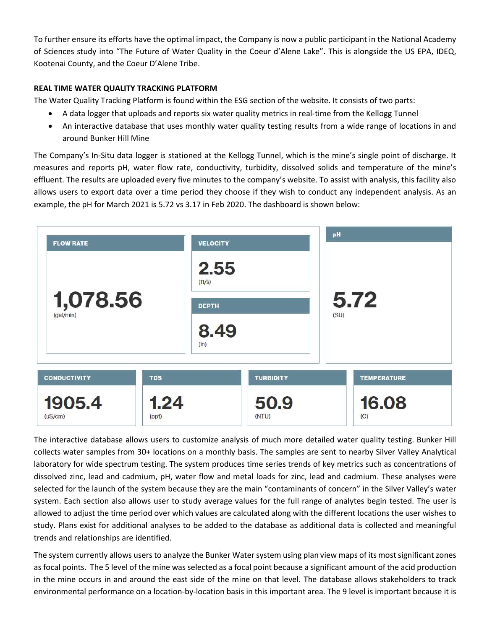To further ensure its efforts have the optimal impact, the Company is now a public participant in the National Academy of Sciences study into "The Future of Water Quality in the Coeur d'Alene Lake". This is alongside the US EPA, IDEQ, Kootenai County, and the Coeur D'Alene Tribe.

# REAL TIME WATER QUALITY TRACKING PLATFORM

The Water Quality Tracking Platform is found within the ESG section of the website. It consists of two parts:

- A data logger that uploads and reports six water quality metrics in real-time from the Kellogg Tunnel
- An interactive database that uses monthly water quality testing results from a wide range of locations in and around Bunker Hill Mine

The Company's In-Situ data logger is stationed at the Kellogg Tunnel, which is the mine's single point of discharge. It measures and reports pH, water flow rate, conductivity, turbidity, dissolved solids and temperature of the mine's effluent. The results are uploaded every five minutes to the company's website. To assist with analysis, this facility also allows users to export data over a time period they choose if they wish to conduct any independent analysis. As an example, the pH for March 2021 is 5.72 vs 3.17 in Feb 2020. The dashboard is shown below:



The interactive database allows users to customize analysis of much more detailed water quality testing. Bunker Hill collects water samples from 30+ locations on a monthly basis. The samples are sent to nearby Silver Valley Analytical laboratory for wide spectrum testing. The system produces time series trends of key metrics such as concentrations of dissolved zinc, lead and cadmium, pH, water flow and metal loads for zinc, lead and cadmium. These analyses were selected for the launch of the system because they are the main "contaminants of concern" in the Silver Valley's water system. Each section also allows user to study average values for the full range of analytes begin tested. The user is allowed to adjust the time period over which values are calculated along with the different locations the user wishes to study. Plans exist for additional analyses to be added to the database as additional data is collected and meaningful trends and relationships are identified.

The system currently allows users to analyze the Bunker Water system using plan view maps of its most significant zones as focal points. The 5 level of the mine was selected as a focal point because a significant amount of the acid production in the mine occurs in and around the east side of the mine on that level. The database allows stakeholders to track environmental performance on a location-by-location basis in this important area. The 9 level is important because it is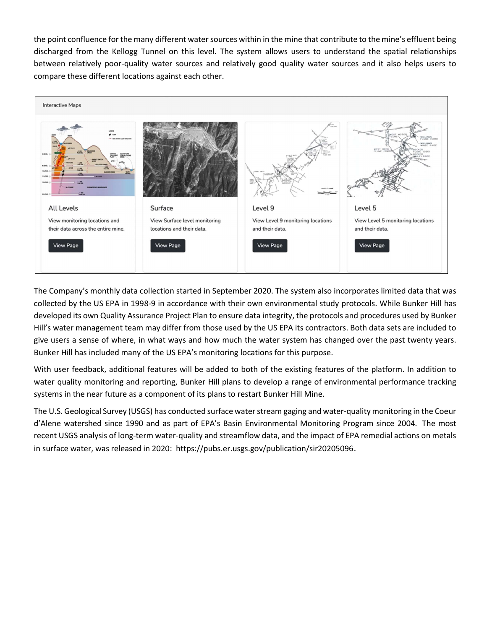the point confluence for the many different water sources within in the mine that contribute to the mine's effluent being discharged from the Kellogg Tunnel on this level. The system allows users to understand the spatial relationships between relatively poor-quality water sources and relatively good quality water sources and it also helps users to compare these different locations against each other.



The Company's monthly data collection started in September 2020. The system also incorporates limited data that was collected by the US EPA in 1998-9 in accordance with their own environmental study protocols. While Bunker Hill has developed its own Quality Assurance Project Plan to ensure data integrity, the protocols and procedures used by Bunker Hill's water management team may differ from those used by the US EPA its contractors. Both data sets are included to give users a sense of where, in what ways and how much the water system has changed over the past twenty years. Bunker Hill has included many of the US EPA's monitoring locations for this purpose.

With user feedback, additional features will be added to both of the existing features of the platform. In addition to water quality monitoring and reporting, Bunker Hill plans to develop a range of environmental performance tracking systems in the near future as a component of its plans to restart Bunker Hill Mine.

The U.S. Geological Survey (USGS) has conducted surface water stream gaging and water-quality monitoring in the Coeur d'Alene watershed since 1990 and as part of EPA's Basin Environmental Monitoring Program since 2004. The most recent USGS analysis of long-term water-quality and streamflow data, and the impact of EPA remedial actions on metals in surface water, was released in 2020: https://pubs.er.usgs.gov/publication/sir20205096.